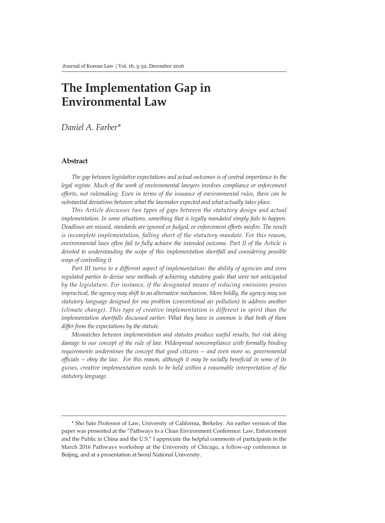# **The Implementation Gap in Environmental Law**

*Daniel A. Farber\**

#### **Abstract**

*The gap between legislative expectations and actual outcomes is of central importance to the*  legal regime. Much of the work of environmental lawyers involves compliance or enforcement *efforts, not rulemaking. Even in terms of the issuance of environmental rules, there can be substantial deviations between what the lawmaker expected and what actually takes place.*

*This Article discusses two types of gaps between the statutory design and actual implementation. In some situations, something that is legally mandated simply fails to happen. Deadlines are missed, standards are ignored or fudged, or enforcement efforts misfire. The result is incomplete implementation, falling short of the statutory mandate. For this reason, environmental laws often fail to fully achieve the intended outcome. Part II of the Article is devoted to understanding the scope of this implementation shortfall and considering possible ways of controlling it.*

Part III turns to a different aspect of implementation: the ability of agencies and even *regulated parties to devise new methods of achieving statutory goals that were not anticipated by the legislature. For instance, if the designated means of reducing emissions proves impractical, the agency may shift to an alternative mechanism. More boldly, the agency may use statutory language designed for one problem (conventional air pollution) to address another (climate change). This type of creative implementation is different in spirit than the implementation shortfalls discussed earlier. What they have in common is that both of them differ from the expectations by the statute.* 

*Mismatches between implementation and statutes produce useful results, but risk doing*  damage to our concept of the rule of law. Widespread noncompliance with formally binding requirements undermines the concept that good citizens -- and even more so, governmental *officials -- obey the law. For this reason, although it may be socially beneficial in some of its guises, creative implementation needs to be held within a reasonable interpretation of the statutory language.*

<sup>\*</sup> Sho Sato Professor of Law, University of California, Berkeley. An earlier version of this paper was presented at the "Pathways to a Clean Environment Conference: Law, Enforcement and the Public in China and the U.S." I appreciate the helpful comments of participants in the March 2016 Pathways workshop at the University of Chicago, a follow-up conference in Beijing, and at a presentation at Seoul National University.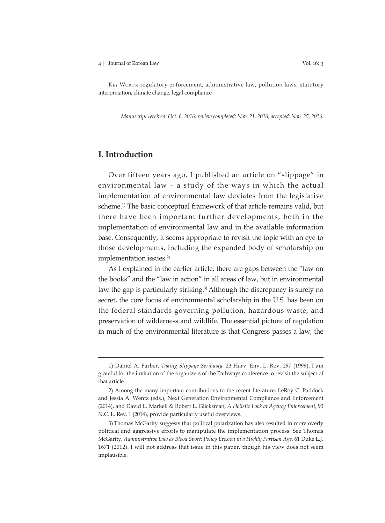#### 4 | Journal of Korean Law Vol. 16: 3

KEY WORDS: regulatory enforcement, administrative law, pollution laws, statutory interpretation, climate change, legal compliance

*Manuscript received: Oct. 6, 2016; review completed: Nov. 21, 2016; accepted: Nov. 25, 2016.*

# **I. Introduction**

Over fifteen years ago, I published an article on "slippage" in environmental law – a study of the ways in which the actual implementation of environmental law deviates from the legislative scheme.1) The basic conceptual framework of that article remains valid, but there have been important further developments, both in the implementation of environmental law and in the available information base. Consequently, it seems appropriate to revisit the topic with an eye to those developments, including the expanded body of scholarship on implementation issues.<sup>2)</sup>

As I explained in the earlier article, there are gaps between the "law on the books" and the "law in action" in all areas of law, but in environmental law the gap is particularly striking.<sup>3)</sup> Although the discrepancy is surely no secret, the core focus of environmental scholarship in the U.S. has been on the federal standards governing pollution, hazardous waste, and preservation of wilderness and wildlife. The essential picture of regulation in much of the environmental literature is that Congress passes a law, the

<sup>1)</sup> Daniel A. Farber, *Taking Slippage Seriously*, 23 Harv. Env. L. Rev. 297 (1999). I am grateful for the invitation of the organizers of the Pathways conference to revisit the subject of that article.

<sup>2)</sup> Among the many important contributions to the recent literature, LeRoy C. Paddock and Jessia A. Wentz (eds.), Next Generation Environmental Compliance and Enforcement (2014), and David L. Markell & Robert L. Glicksman, *A Holistic Look at Agency Enforcement*, 93 N.C. L. Rev. 1 (2014), provide particularly useful overviews.

<sup>3)</sup> Thomas McGarity suggests that political polarization has also resulted in more overly political and aggressive efforts to manipulate the implementation process. See Thomas McGarity, *Administrative Law as Blood Sport: Policy Erosion in a Highly Partisan Age*, 61 Duke L.J. 1671 (2012). I will not address that issue in this paper, though his view does not seem implausible.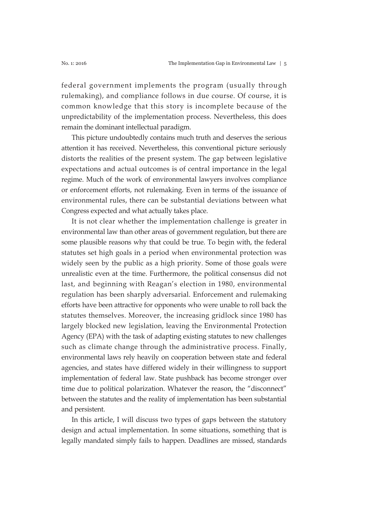federal government implements the program (usually through rulemaking), and compliance follows in due course. Of course, it is common knowledge that this story is incomplete because of the unpredictability of the implementation process. Nevertheless, this does remain the dominant intellectual paradigm.

This picture undoubtedly contains much truth and deserves the serious attention it has received. Nevertheless, this conventional picture seriously distorts the realities of the present system. The gap between legislative expectations and actual outcomes is of central importance in the legal regime. Much of the work of environmental lawyers involves compliance or enforcement efforts, not rulemaking. Even in terms of the issuance of environmental rules, there can be substantial deviations between what Congress expected and what actually takes place.

It is not clear whether the implementation challenge is greater in environmental law than other areas of government regulation, but there are some plausible reasons why that could be true. To begin with, the federal statutes set high goals in a period when environmental protection was widely seen by the public as a high priority. Some of those goals were unrealistic even at the time. Furthermore, the political consensus did not last, and beginning with Reagan's election in 1980, environmental regulation has been sharply adversarial. Enforcement and rulemaking efforts have been attractive for opponents who were unable to roll back the statutes themselves. Moreover, the increasing gridlock since 1980 has largely blocked new legislation, leaving the Environmental Protection Agency (EPA) with the task of adapting existing statutes to new challenges such as climate change through the administrative process. Finally, environmental laws rely heavily on cooperation between state and federal agencies, and states have differed widely in their willingness to support implementation of federal law. State pushback has become stronger over time due to political polarization. Whatever the reason, the "disconnect" between the statutes and the reality of implementation has been substantial and persistent.

In this article, I will discuss two types of gaps between the statutory design and actual implementation. In some situations, something that is legally mandated simply fails to happen. Deadlines are missed, standards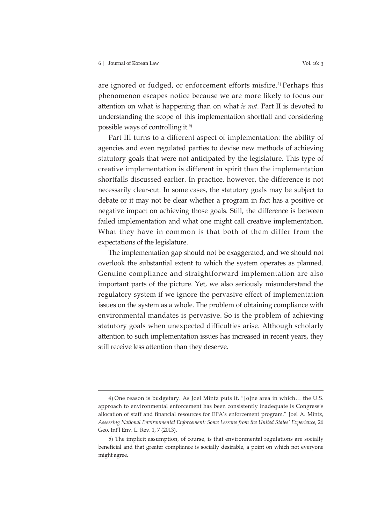are ignored or fudged, or enforcement efforts misfire.<sup>4)</sup> Perhaps this phenomenon escapes notice because we are more likely to focus our attention on what *is* happening than on what *is not*. Part II is devoted to understanding the scope of this implementation shortfall and considering possible ways of controlling it.<sup>5)</sup>

Part III turns to a different aspect of implementation: the ability of agencies and even regulated parties to devise new methods of achieving statutory goals that were not anticipated by the legislature. This type of creative implementation is different in spirit than the implementation shortfalls discussed earlier. In practice, however, the difference is not necessarily clear-cut. In some cases, the statutory goals may be subject to debate or it may not be clear whether a program in fact has a positive or negative impact on achieving those goals. Still, the difference is between failed implementation and what one might call creative implementation. What they have in common is that both of them differ from the expectations of the legislature.

The implementation gap should not be exaggerated, and we should not overlook the substantial extent to which the system operates as planned. Genuine compliance and straightforward implementation are also important parts of the picture. Yet, we also seriously misunderstand the regulatory system if we ignore the pervasive effect of implementation issues on the system as a whole. The problem of obtaining compliance with environmental mandates is pervasive. So is the problem of achieving statutory goals when unexpected difficulties arise. Although scholarly attention to such implementation issues has increased in recent years, they still receive less attention than they deserve.

<sup>4)</sup> One reason is budgetary. As Joel Mintz puts it, "[o]ne area in which… the U.S. approach to environmental enforcement has been consistently inadequate is Congress's allocation of staff and financial resources for EPA's enforcement program." Joel A. Mintz, *Assessing National Environmental Enforcement: Some Lessons from the United States' Experience*, 26 Geo. Int'l Env. L. Rev. 1, 7 (2013).

<sup>5)</sup> The implicit assumption, of course, is that environmental regulations are socially beneficial and that greater compliance is socially desirable, a point on which not everyone might agree.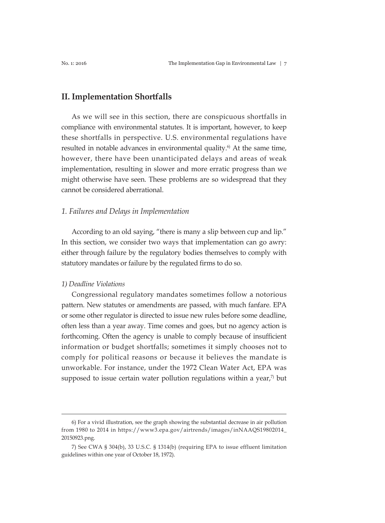## **II. Implementation Shortfalls**

As we will see in this section, there are conspicuous shortfalls in compliance with environmental statutes. It is important, however, to keep these shortfalls in perspective. U.S. environmental regulations have resulted in notable advances in environmental quality. $6$  At the same time, however, there have been unanticipated delays and areas of weak implementation, resulting in slower and more erratic progress than we might otherwise have seen. These problems are so widespread that they cannot be considered aberrational.

### *1. Failures and Delays in Implementation*

According to an old saying, "there is many a slip between cup and lip." In this section, we consider two ways that implementation can go awry: either through failure by the regulatory bodies themselves to comply with statutory mandates or failure by the regulated firms to do so.

#### *1) Deadline Violations*

Congressional regulatory mandates sometimes follow a notorious pattern. New statutes or amendments are passed, with much fanfare. EPA or some other regulator is directed to issue new rules before some deadline, often less than a year away. Time comes and goes, but no agency action is forthcoming. Often the agency is unable to comply because of insufficient information or budget shortfalls; sometimes it simply chooses not to comply for political reasons or because it believes the mandate is unworkable. For instance, under the 1972 Clean Water Act, EPA was supposed to issue certain water pollution regulations within a year, $\eta$  but

<sup>6)</sup> For a vivid illustration, see the graph showing the substantial decrease in air pollution from 1980 to 2014 in https://www3.epa.gov/airtrends/images/inNAAQS19802014\_ 20150923.png.

<sup>7)</sup> See CWA § 304(b), 33 U.S.C. § 1314(b) (requiring EPA to issue effluent limitation guidelines within one year of October 18, 1972).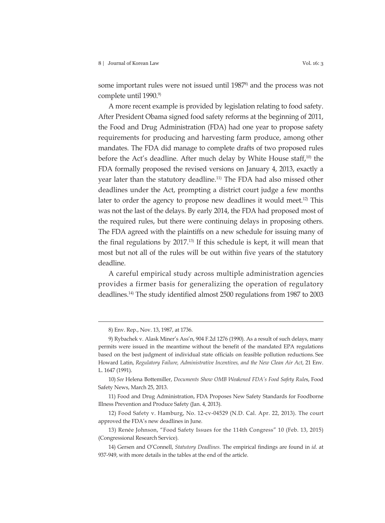some important rules were not issued until 1987<sup>8</sup> and the process was not complete until 1990.<sup>9)</sup>

A more recent example is provided by legislation relating to food safety. After President Obama signed food safety reforms at the beginning of 2011, the Food and Drug Administration (FDA) had one year to propose safety requirements for producing and harvesting farm produce, among other mandates. The FDA did manage to complete drafts of two proposed rules before the Act's deadline. After much delay by White House staff,<sup>10)</sup> the FDA formally proposed the revised versions on January 4, 2013, exactly a year later than the statutory deadline.<sup>11)</sup> The FDA had also missed other deadlines under the Act, prompting a district court judge a few months later to order the agency to propose new deadlines it would meet.<sup>12)</sup> This was not the last of the delays. By early 2014, the FDA had proposed most of the required rules, but there were continuing delays in proposing others. The FDA agreed with the plaintiffs on a new schedule for issuing many of the final regulations by 2017.13) If this schedule is kept, it will mean that most but not all of the rules will be out within five years of the statutory deadline.

A careful empirical study across multiple administration agencies provides a firmer basis for generalizing the operation of regulatory deadlines.14) The study identified almost 2500 regulations from 1987 to 2003

<sup>8)</sup> Env. Rep., Nov. 13, 1987, at 1736.

<sup>9)</sup> Rybachek v. Alask Miner's Ass'n, 904 F.2d 1276 (1990). As a result of such delays, many permits were issued in the meantime without the benefit of the mandated EPA regulations based on the best judgment of individual state officials on feasible pollution reductions. See Howard Latin, *Regulatory Failure, Administrative Incentives, and the New Clean Air Act*, 21 Env. L. 1647 (1991).

<sup>10)</sup> *See* Helena Bottemiller, *Documents Show OMB Weakened FDA's Food Safety Rule*s, Food Safety News, March 25, 2013.

<sup>11)</sup> Food and Drug Administration, FDA Proposes New Safety Standards for Foodborne Illness Prevention and Produce Safety (Jan. 4, 2013).

<sup>12)</sup> Food Safety v. Hamburg, No. 12-cv-04529 (N.D. Cal. Apr. 22, 2013). The court approved the FDA's new deadlines in June.

<sup>13)</sup> Renée Johnson, "Food Safety Issues for the 114th Congress" 10 (Feb. 13, 2015) (Congressional Research Service).

<sup>14)</sup> Gersen and O'Connell, *Statutory Deadlines.* The empirical findings are found in *id.* at 937-949, with more details in the tables at the end of the article.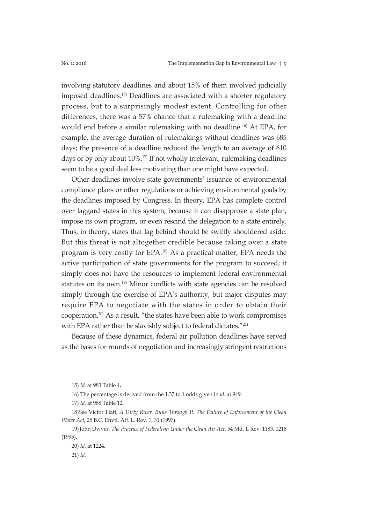involving statutory deadlines and about 15% of them involved judicially imposed deadlines.15) Deadlines are associated with a shorter regulatory process, but to a surprisingly modest extent. Controlling for other differences, there was a 57% chance that a rulemaking with a deadline would end before a similar rulemaking with no deadline.<sup>16)</sup> At EPA, for example, the average duration of rulemakings without deadlines was 685 days; the presence of a deadline reduced the length to an average of 610 days or by only about 10%.<sup>17)</sup> If not wholly irrelevant, rulemaking deadlines seem to be a good deal less motivating than one might have expected.

Other deadlines involve state governments' issuance of environmental compliance plans or other regulations or achieving environmental goals by the deadlines imposed by Congress. In theory, EPA has complete control over laggard states in this system, because it can disapprove a state plan, impose its own program, or even rescind the delegation to a state entirely. Thus, in theory, states that lag behind should be swiftly shouldered aside. But this threat is not altogether credible because taking over a state program is very costly for EPA.18) As a practical matter, EPA needs the active participation of state governments for the program to succeed; it simply does not have the resources to implement federal environmental statutes on its own.<sup>19)</sup> Minor conflicts with state agencies can be resolved simply through the exercise of EPA's authority, but major disputes may require EPA to negotiate with the states in order to obtain their cooperation.20) As a result, "the states have been able to work compromises with EPA rather than be slavishly subject to federal dictates."<sup>21)</sup>

Because of these dynamics, federal air pollution deadlines have served as the bases for rounds of negotiation and increasingly stringent restrictions

<sup>15)</sup> *Id.* at 983 Table 4,

<sup>16)</sup> The percentage is derived from the 1.37 to 1 odds given in *id.* at 949.

<sup>17)</sup> *Id.* at 988 Table 12.

<sup>18)</sup>See Victor Flatt, *A Dirty River, Runs Through It: The Failure of Enforcement of the Clean Water Act*, 25 B.C. Envtl. Aff. L. Rev. 1, 31 (1997).

<sup>19)</sup>John Dwyer, *The Practice of Federalism Under the Clean Air Act*, 54 Md. L Rev. 1183. 1218 (1995).

<sup>20)</sup> *Id.* at 1224.

<sup>21)</sup> *Id.*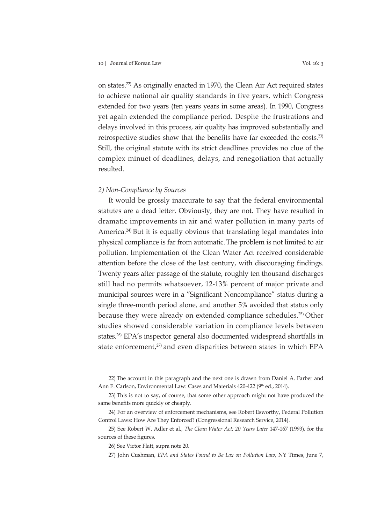on states.22) As originally enacted in 1970, the Clean Air Act required states to achieve national air quality standards in five years, which Congress extended for two years (ten years years in some areas). In 1990, Congress yet again extended the compliance period. Despite the frustrations and delays involved in this process, air quality has improved substantially and retrospective studies show that the benefits have far exceeded the costs.23) Still, the original statute with its strict deadlines provides no clue of the complex minuet of deadlines, delays, and renegotiation that actually resulted.

#### *2) Non-Compliance by Sources*

It would be grossly inaccurate to say that the federal environmental statutes are a dead letter. Obviously, they are not. They have resulted in dramatic improvements in air and water pollution in many parts of America.<sup>24)</sup> But it is equally obvious that translating legal mandates into physical compliance is far from automatic.The problem is not limited to air pollution. Implementation of the Clean Water Act received considerable attention before the close of the last century, with discouraging findings. Twenty years after passage of the statute, roughly ten thousand discharges still had no permits whatsoever, 12-13% percent of major private and municipal sources were in a "Significant Noncompliance" status during a single three-month period alone, and another 5% avoided that status only because they were already on extended compliance schedules.25) Other studies showed considerable variation in compliance levels between states.<sup>26)</sup> EPA's inspector general also documented widespread shortfalls in state enforcement,<sup>27</sup> and even disparities between states in which EPA

<sup>22)</sup> The account in this paragraph and the next one is drawn from Daniel A. Farber and Ann E. Carlson, Environmental Law: Cases and Materials 420-422 (9<sup>th</sup> ed., 2014).

<sup>23)</sup> This is not to say, of course, that some other approach might not have produced the same benefits more quickly or cheaply.

<sup>24)</sup> For an overview of enforcement mechanisms, see Robert Esworthy, Federal Pollution Control Laws: How Are They Enforced? (Congressional Research Service, 2014).

<sup>25)</sup> See Robert W. Adler et al., *The Clean Water Act: 20 Years Later* 147-167 (1993), for the sources of these figures.

<sup>26)</sup> See Victor Flatt, supra note 20.

<sup>27)</sup> John Cushman, *EPA and States Found to Be Lax on Pollution Law*, NY Times, June 7,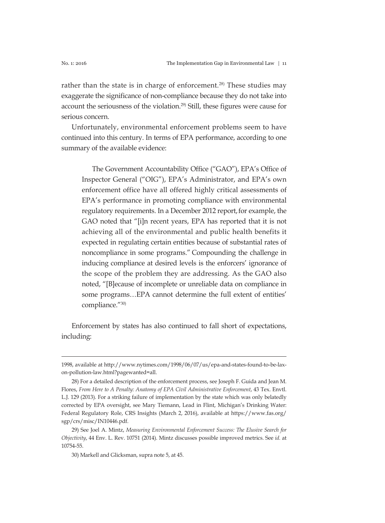rather than the state is in charge of enforcement.<sup>28)</sup> These studies may exaggerate the significance of non-compliance because they do not take into account the seriousness of the violation.<sup>29</sup> Still, these figures were cause for serious concern.

Unfortunately, environmental enforcement problems seem to have continued into this century. In terms of EPA performance, according to one summary of the available evidence:

The Government Accountability Office ("GAO"), EPA's Office of Inspector General ("OIG"), EPA's Administrator, and EPA's own enforcement office have all offered highly critical assessments of EPA's performance in promoting compliance with environmental regulatory requirements. In a December 2012 report, for example, the GAO noted that "[i]n recent years, EPA has reported that it is not achieving all of the environmental and public health benefits it expected in regulating certain entities because of substantial rates of noncompliance in some programs." Compounding the challenge in inducing compliance at desired levels is the enforcers' ignorance of the scope of the problem they are addressing. As the GAO also noted, "[B]ecause of incomplete or unreliable data on compliance in some programs…EPA cannot determine the full extent of entities' compliance."30)

Enforcement by states has also continued to fall short of expectations, including:

<sup>1998,</sup> available at http://www.nytimes.com/1998/06/07/us/epa-and-states-found-to-be-laxon-pollution-law.html?pagewanted=all.

<sup>28)</sup> For a detailed description of the enforcement process, see Joseph F. Guida and Jean M. Flores, *From Here to A Penalty: Anatomy of EPA Civil Administrative Enforcement*, 43 Tex. Envtl. L.J. 129 (2013). For a striking failure of implementation by the state which was only belatedly corrected by EPA oversight, see Mary Tiemann, Lead in Flint, Michigan's Drinking Water: Federal Regulatory Role, CRS Insights (March 2, 2016), available at https://www.fas.org/ sgp/crs/misc/IN10446.pdf.

<sup>29)</sup> See Joel A. Mintz, *Measuring Environmental Enforcement Success: The Elusive Search for Objectivity*, 44 Env. L. Rev. 10751 (2014). Mintz discusses possible improved metrics. See *id.* at 10754-55.

<sup>30)</sup> Markell and Glicksman, supra note 5, at 45.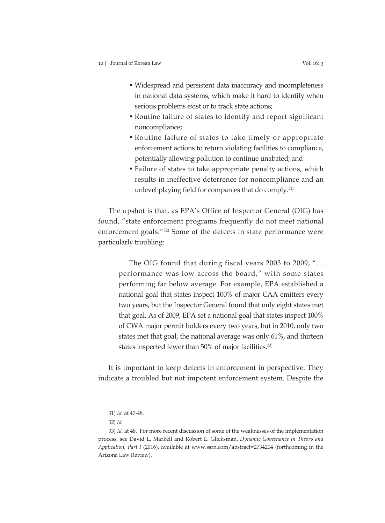- Widespread and persistent data inaccuracy and incompleteness in national data systems, which make it hard to identify when serious problems exist or to track state actions;
- Routine failure of states to identify and report significant noncompliance;
- Routine failure of states to take timely or appropriate enforcement actions to return violating facilities to compliance, potentially allowing pollution to continue unabated; and
- Failure of states to take appropriate penalty actions, which results in ineffective deterrence for noncompliance and an unlevel playing field for companies that do comply.<sup>31)</sup>

The upshot is that, as EPA's Office of Inspector General (OIG) has found, "state enforcement programs frequently do not meet national enforcement goals."32) Some of the defects in state performance were particularly troubling:

The OIG found that during fiscal years 2003 to 2009, "… performance was low across the board," with some states performing far below average. For example, EPA established a national goal that states inspect 100% of major CAA emitters every two years, but the Inspector General found that only eight states met that goal. As of 2009, EPA set a national goal that states inspect 100% of CWA major permit holders every two years, but in 2010, only two states met that goal, the national average was only 61%, and thirteen states inspected fewer than 50% of major facilities.<sup>33)</sup>

It is important to keep defects in enforcement in perspective. They indicate a troubled but not impotent enforcement system. Despite the

<sup>31)</sup> *Id.* at 47-48.

<sup>32)</sup> *Id.*

<sup>33)</sup> *Id.* at 48. For more recent discussion of some of the weaknesses of the implementation process, see David L. Markell and Robert L. Glicksman, *Dynamic Governance in Theory and Application, Part I* (2016), available at www.ssrn.com/abstract=2734204 (forthcoming in the Arizona Law Review).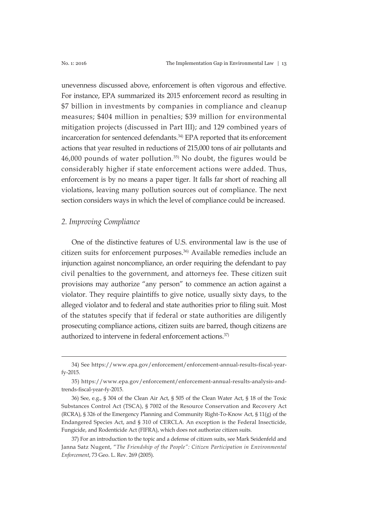unevenness discussed above, enforcement is often vigorous and effective. For instance, EPA summarized its 2015 enforcement record as resulting in \$7 billion in investments by companies in compliance and cleanup measures; \$404 million in penalties; \$39 million for environmental mitigation projects (discussed in Part III); and 129 combined years of incarceration for sentenced defendants.<sup>34)</sup> EPA reported that its enforcement actions that year resulted in reductions of 215,000 tons of air pollutants and  $46,000$  pounds of water pollution.<sup>35)</sup> No doubt, the figures would be considerably higher if state enforcement actions were added. Thus, enforcement is by no means a paper tiger. It falls far short of reaching all violations, leaving many pollution sources out of compliance. The next section considers ways in which the level of compliance could be increased.

# *2. Improving Compliance*

One of the distinctive features of U.S. environmental law is the use of citizen suits for enforcement purposes.36) Available remedies include an injunction against noncompliance, an order requiring the defendant to pay civil penalties to the government, and attorneys fee. These citizen suit provisions may authorize "any person" to commence an action against a violator. They require plaintiffs to give notice, usually sixty days, to the alleged violator and to federal and state authorities prior to filing suit. Most of the statutes specify that if federal or state authorities are diligently prosecuting compliance actions, citizen suits are barred, though citizens are authorized to intervene in federal enforcement actions.<sup>37)</sup>

<sup>34)</sup> See https://www.epa.gov/enforcement/enforcement-annual-results-fiscal-yearfy-2015.

<sup>35)</sup> https://www.epa.gov/enforcement/enforcement-annual-results-analysis-andtrends-fiscal-year-fy-2015.

<sup>36)</sup> See, e.g., § 304 of the Clean Air Act, § 505 of the Clean Water Act, § 18 of the Toxic Substances Control Act (TSCA), § 7002 of the Resource Conservation and Recovery Act (RCRA), § 326 of the Emergency Planning and Community Right-To-Know Act, § 11(g) of the Endangered Species Act, and § 310 of CERCLA. An exception is the Federal Insecticide, Fungicide, and Rodenticide Act (FIFRA), which does not authorize citizen suits.

<sup>37)</sup> For an introduction to the topic and a defense of citizen suits, see Mark Seidenfeld and Janna Satz Nugent, "*The Friendship of the People": Citizen Participation in Environmental Enforcement*, 73 Geo. L. Rev. 269 (2005).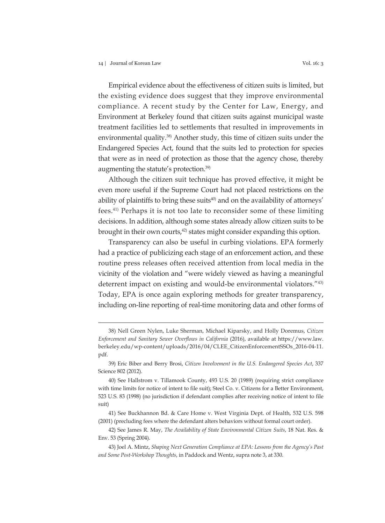Empirical evidence about the effectiveness of citizen suits is limited, but the existing evidence does suggest that they improve environmental compliance. A recent study by the Center for Law, Energy, and Environment at Berkeley found that citizen suits against municipal waste treatment facilities led to settlements that resulted in improvements in environmental quality.<sup>38)</sup> Another study, this time of citizen suits under the Endangered Species Act, found that the suits led to protection for species that were as in need of protection as those that the agency chose, thereby augmenting the statute's protection.39)

Although the citizen suit technique has proved effective, it might be even more useful if the Supreme Court had not placed restrictions on the ability of plaintiffs to bring these suits<sup>40</sup> and on the availability of attorneys' fees.41) Perhaps it is not too late to reconsider some of these limiting decisions. In addition, although some states already allow citizen suits to be brought in their own courts, $42$ ) states might consider expanding this option.

Transparency can also be useful in curbing violations. EPA formerly had a practice of publicizing each stage of an enforcement action, and these routine press releases often received attention from local media in the vicinity of the violation and "were widely viewed as having a meaningful deterrent impact on existing and would-be environmental violators."43) Today, EPA is once again exploring methods for greater transparency, including on-line reporting of real-time monitoring data and other forms of

<sup>38)</sup> Nell Green Nylen, Luke Sherman, Michael Kiparsky, and Holly Doremus, *Citizen Enforcement and Sanitary Sewer Overflows in California* (2016), available at https://www.law. berkeley.edu/wp-content/uploads/2016/04/CLEE\_CitizenEnforcementSSOs\_2016-04-11. pdf.

<sup>39)</sup> Eric Biber and Berry Brosi, *Citizen Involvement in the U.S. Endangered Species Act*, 337 Science 802 (2012).

<sup>40)</sup> See Hallstrom v. Tillamook County, 493 U.S. 20 (1989) (requiring strict compliance with time limits for notice of intent to file suit); Steel Co. v. Citizens for a Better Environment, 523 U.S. 83 (1998) (no jurisdiction if defendant complies after receiving notice of intent to file suit)

<sup>41)</sup> See Buckhannon Bd. & Care Home v. West Virginia Dept. of Health, 532 U.S. 598 (2001) (precluding fees where the defendant alters behaviors without formal court order).

<sup>42)</sup> See James R. May, *The Availability of State Environmental Citizen Suits*, 18 Nat. Res. & Env. 53 (Spring 2004).

<sup>43)</sup> Joel A. Mintz, *Shaping Next Generation Compliance at EPA: Lessons from the Agency's Past and Some Post-Workshop Thoughts*, in Paddock and Wentz, supra note 3, at 330.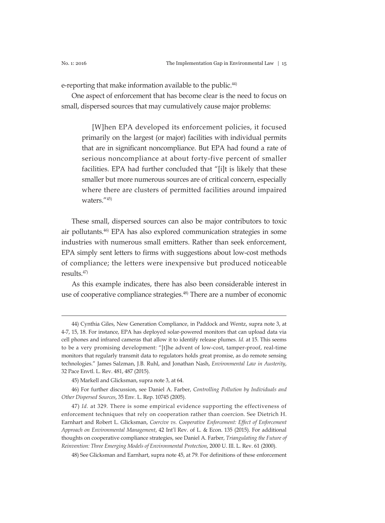e-reporting that make information available to the public.<sup>44)</sup>

One aspect of enforcement that has become clear is the need to focus on small, dispersed sources that may cumulatively cause major problems:

[W]hen EPA developed its enforcement policies, it focused primarily on the largest (or major) facilities with individual permits that are in significant noncompliance. But EPA had found a rate of serious noncompliance at about forty-five percent of smaller facilities. EPA had further concluded that "[i]t is likely that these smaller but more numerous sources are of critical concern, especially where there are clusters of permitted facilities around impaired waters."45)

These small, dispersed sources can also be major contributors to toxic air pollutants.46) EPA has also explored communication strategies in some industries with numerous small emitters. Rather than seek enforcement, EPA simply sent letters to firms with suggestions about low-cost methods of compliance; the letters were inexpensive but produced noticeable results.47)

As this example indicates, there has also been considerable interest in use of cooperative compliance strategies.<sup>48)</sup> There are a number of economic

<sup>44)</sup> Cynthia Giles, New Generation Compliance, in Paddock and Wentz, supra note 3, at 4-7, 15, 18. For instance, EPA has deployed solar-powered monitors that can upload data via cell phones and infrared cameras that allow it to identify release plumes. *Id.* at 15. This seems to be a very promising development: "[t]he advent of low-cost, tamper-proof, real-time monitors that regularly transmit data to regulators holds great promise, as do remote sensing technologies." James Salzman, J.B. Ruhl, and Jonathan Nash, *Environmental Law in Austerity*, 32 Pace Envtl. L. Rev. 481, 487 (2015).

<sup>45)</sup> Markell and Glicksman, supra note 3, at 64.

<sup>46)</sup> For further discussion, see Daniel A. Farber, *Controlling Pollution by Individuals and Other Dispersed Sources*, 35 Env. L. Rep. 10745 (2005).

<sup>47)</sup> *Id.* at 329. There is some empirical evidence supporting the effectiveness of enforcement techniques that rely on cooperation rather than coercion. See Dietrich H. Earnhart and Robert L. Glicksman, *Coercive vs. Cooperative Enforcement: Effect of Enforcement Approach on Environmental Management*, 42 Int'l Rev. of L. & Econ. 135 (2015). For additional thoughts on cooperative compliance strategies, see Daniel A. Farber, *Triangulating the Future of Reinvention: Three Emerging Models of Environmental Protection*, 2000 U. Ill. L. Rev. 61 (2000).

<sup>48)</sup> See Glicksman and Earnhart, supra note 45, at 79. For definitions of these enforcement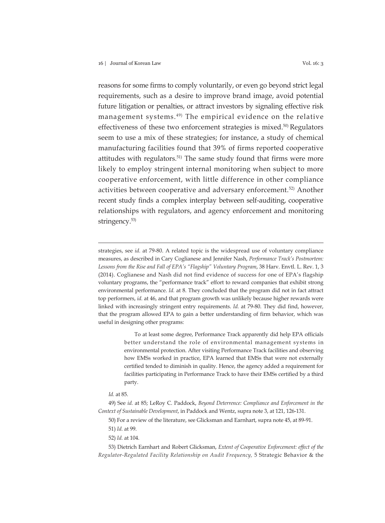reasons for some firms to comply voluntarily, or even go beyond strict legal requirements, such as a desire to improve brand image, avoid potential future litigation or penalties, or attract investors by signaling effective risk management systems. 49) The empirical evidence on the relative effectiveness of these two enforcement strategies is mixed.<sup>50)</sup> Regulators seem to use a mix of these strategies; for instance, a study of chemical manufacturing facilities found that 39% of firms reported cooperative attitudes with regulators.<sup>51)</sup> The same study found that firms were more likely to employ stringent internal monitoring when subject to more cooperative enforcement, with little difference in other compliance activities between cooperative and adversary enforcement.52) Another recent study finds a complex interplay between self-auditing, cooperative relationships with regulators, and agency enforcement and monitoring stringency.53)

strategies, see *id.* at 79-80. A related topic is the widespread use of voluntary compliance measures, as described in Cary Coglianese and Jennifer Nash, *Performance Track's Postmortem: Lessons from the Rise and Fall of EPA's "Flagship" Voluntary Program*, 38 Harv. Envtl. L. Rev. 1, 3 (2014). Coglianese and Nash did not find evidence of success for one of EPA's flagship voluntary programs, the "performance track" effort to reward companies that exhibit strong environmental performance. *Id.* at 8. They concluded that the program did not in fact attract top performers, *id.* at 46, and that program growth was unlikely because higher rewards were linked with increasingly stringent entry requirements. *Id.* at 79-80. They did find, however, that the program allowed EPA to gain a better understanding of firm behavior, which was useful in designing other programs:

> To at least some degree, Performance Track apparently did help EPA officials better understand the role of environmental management systems in environmental protection. After visiting Performance Track facilities and observing how EMSs worked in practice, EPA learned that EMSs that were not externally certified tended to diminish in quality. Hence, the agency added a requirement for facilities participating in Performance Track to have their EMSs certified by a third party.

53) Dietrich Earnhart and Robert Glicksman, *Extent of Cooperative Enforcement: effect of the Regulator-Regulated Facility Relationship on Audit Frequency,* 5 Strategic Behavior & the

*Id.* at 85.

<sup>49)</sup> See *id.* at 85; LeRoy C. Paddock, *Beyond Deterrence: Compliance and Enforcement in the Context of Sustainable Development*, in Paddock and Wentz, supra note 3, at 121, 126-131.

<sup>50)</sup> For a review of the literature, see Glicksman and Earnhart, supra note 45, at 89-91.

<sup>51)</sup> *Id.* at 99.

<sup>52)</sup> *Id.* at 104.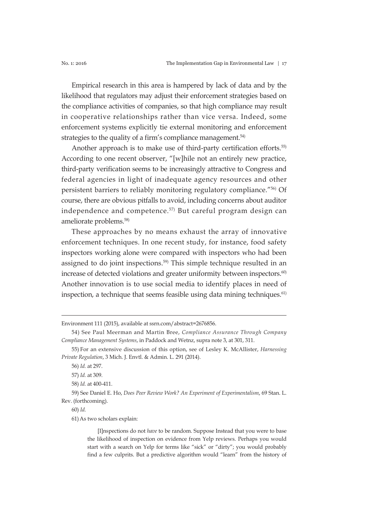Empirical research in this area is hampered by lack of data and by the likelihood that regulators may adjust their enforcement strategies based on the compliance activities of companies, so that high compliance may result in cooperative relationships rather than vice versa. Indeed, some enforcement systems explicitly tie external monitoring and enforcement strategies to the quality of a firm's compliance management.<sup>54)</sup>

Another approach is to make use of third-party certification efforts.<sup>55)</sup> According to one recent observer, "[w]hile not an entirely new practice, third-party verification seems to be increasingly attractive to Congress and federal agencies in light of inadequate agency resources and other persistent barriers to reliably monitoring regulatory compliance."56) Of course, there are obvious pitfalls to avoid, including concerns about auditor independence and competence.<sup>57)</sup> But careful program design can ameliorate problems.<sup>58)</sup>

These approaches by no means exhaust the array of innovative enforcement techniques. In one recent study, for instance, food safety inspectors working alone were compared with inspectors who had been assigned to do joint inspections.<sup>59)</sup> This simple technique resulted in an increase of detected violations and greater uniformity between inspectors.<sup>60)</sup> Another innovation is to use social media to identify places in need of inspection, a technique that seems feasible using data mining techniques.<sup>61)</sup>

60) *Id.*

61)As two scholars explain:

[I]nspections do not *have* to be random. Suppose Instead that you were to base the likelihood of inspection on evidence from Yelp reviews. Perhaps you would start with a search on Yelp for terms like "sick" or "dirty"; you would probably find a few culprits. But a predictive algorithm would "learn" from the history of

Environment 111 (2015), available at ssrn.com/abstract=2676856.

<sup>54)</sup> See Paul Meerman and Martin Bree, *Compliance Assurance Through Company Compliance Management Systems*, in Paddock and Wetnz, supra note 3, at 301, 311.

<sup>55)</sup> For an extensive discussion of this option, see of Lesley K. McAllister, *Harnessing Private Regulation*, 3 Mich. J. Envtl. & Admin. L. 291 (2014).

<sup>56)</sup> *Id.* at 297.

<sup>57)</sup> *Id.* at 309.

<sup>58)</sup> *Id.* at 400-411.

<sup>59)</sup> See Daniel E. Ho, *Does Peer Review Work? An Experiment of Experimentalism*, 69 Stan. L. Rev. (forthcoming).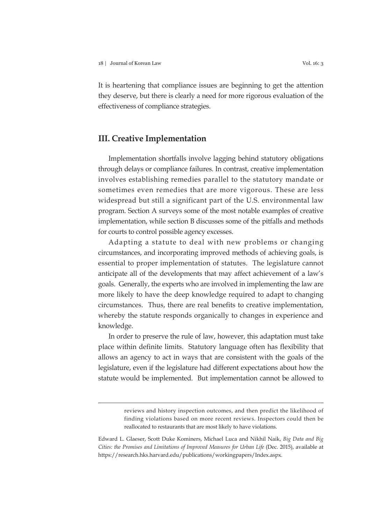It is heartening that compliance issues are beginning to get the attention they deserve, but there is clearly a need for more rigorous evaluation of the effectiveness of compliance strategies.

# **III. Creative Implementation**

Implementation shortfalls involve lagging behind statutory obligations through delays or compliance failures. In contrast, creative implementation involves establishing remedies parallel to the statutory mandate or sometimes even remedies that are more vigorous. These are less widespread but still a significant part of the U.S. environmental law program. Section A surveys some of the most notable examples of creative implementation, while section B discusses some of the pitfalls and methods for courts to control possible agency excesses.

Adapting a statute to deal with new problems or changing circumstances, and incorporating improved methods of achieving goals, is essential to proper implementation of statutes. The legislature cannot anticipate all of the developments that may affect achievement of a law's goals. Generally, the experts who are involved in implementing the law are more likely to have the deep knowledge required to adapt to changing circumstances. Thus, there are real benefits to creative implementation, whereby the statute responds organically to changes in experience and knowledge.

In order to preserve the rule of law, however, this adaptation must take place within definite limits. Statutory language often has flexibility that allows an agency to act in ways that are consistent with the goals of the legislature, even if the legislature had different expectations about how the statute would be implemented. But implementation cannot be allowed to

reviews and history inspection outcomes, and then predict the likelihood of finding violations based on more recent reviews. Inspectors could then be reallocated to restaurants that are most likely to have violations.

Edward L. Glaeser, Scott Duke Kominers, Michael Luca and Nikhil Naik, *Big Data and Big Cities: the Promises and Limitations of Improved Measures for Urban Life* (Dec. 2015), available at https://research.hks.harvard.edu/publications/workingpapers/Index.aspx.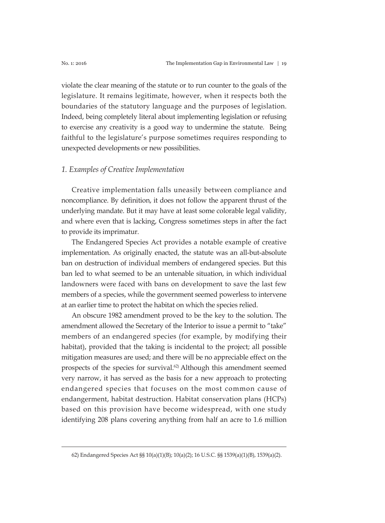violate the clear meaning of the statute or to run counter to the goals of the legislature. It remains legitimate, however, when it respects both the boundaries of the statutory language and the purposes of legislation. Indeed, being completely literal about implementing legislation or refusing to exercise any creativity is a good way to undermine the statute. Being faithful to the legislature's purpose sometimes requires responding to unexpected developments or new possibilities.

#### *1. Examples of Creative Implementation*

Creative implementation falls uneasily between compliance and noncompliance. By definition, it does not follow the apparent thrust of the underlying mandate. But it may have at least some colorable legal validity, and where even that is lacking, Congress sometimes steps in after the fact to provide its imprimatur.

The Endangered Species Act provides a notable example of creative implementation. As originally enacted, the statute was an all-but-absolute ban on destruction of individual members of endangered species. But this ban led to what seemed to be an untenable situation, in which individual landowners were faced with bans on development to save the last few members of a species, while the government seemed powerless to intervene at an earlier time to protect the habitat on which the species relied.

An obscure 1982 amendment proved to be the key to the solution. The amendment allowed the Secretary of the Interior to issue a permit to "take" members of an endangered species (for example, by modifying their habitat), provided that the taking is incidental to the project; all possible mitigation measures are used; and there will be no appreciable effect on the prospects of the species for survival.<sup>62</sup> Although this amendment seemed very narrow, it has served as the basis for a new approach to protecting endangered species that focuses on the most common cause of endangerment, habitat destruction. Habitat conservation plans (HCPs) based on this provision have become widespread, with one study identifying 208 plans covering anything from half an acre to 1.6 million

<sup>62)</sup> Endangered Species Act §§ 10(a)(1)(B); 10(a)(2); 16 U.S.C. §§ 1539(a)(1)(B), 1539(a)(2).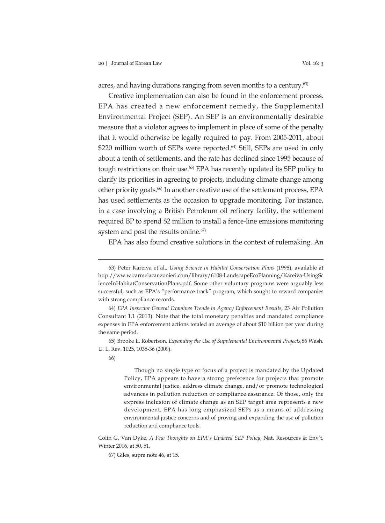acres, and having durations ranging from seven months to a century.<sup>63)</sup>

Creative implementation can also be found in the enforcement process. EPA has created a new enforcement remedy, the Supplemental Environmental Project (SEP). An SEP is an environmentally desirable measure that a violator agrees to implement in place of some of the penalty that it would otherwise be legally required to pay. From 2005-2011, about \$220 million worth of SEPs were reported.<sup>64)</sup> Still, SEPs are used in only about a tenth of settlements, and the rate has declined since 1995 because of tough restrictions on their use.65) EPA has recently updated its SEP policy to clarify its priorities in agreeing to projects, including climate change among other priority goals.66) In another creative use of the settlement process, EPA has used settlements as the occasion to upgrade monitoring. For instance, in a case involving a British Petroleum oil refinery facility, the settlement required BP to spend \$2 million to install a fence-line emissions monitoring system and post the results online.<sup>67)</sup>

EPA has also found creative solutions in the context of rulemaking. An

65) Brooke E. Robertson, *Expanding the Use of Supplemental Environmental Projects,*86 Wash. U. L. Rev. 1025, 1035-36 (2009).

Though no single type or focus of a project is mandated by the Updated Policy, EPA appears to have a strong preference for projects that promote environmental justice, address climate change, and/or promote technological advances in pollution reduction or compliance assurance. Of those, only the express inclusion of climate change as an SEP target area represents a new development; EPA has long emphasized SEPs as a means of addressing environmental justice concerns and of proving and expanding the use of pollution reduction and compliance tools.

Colin G. Van Dyke, *A Few Thoughts on EPA's Updated SEP Policy*, Nat. Resources & Env't, Winter 2016, at 50, 51.

67) Giles, supra note 46, at 15.

<sup>63)</sup> Peter Kareiva et al., *Using Science in Habitat Conservation Plans* (1998), available at http://ww.w.carmelacanzonieri.com/library/6108-LandscapeEcoPlanning/Kareiva-UsingSc ienceInHabitatConservationPlans.pdf. Some other voluntary programs were arguably less successful, such as EPA's "performance track" program, which sought to reward companies with strong compliance records.

<sup>64)</sup> *EPA Inspector General Examines Trends in Agency Enforcement Results*, 23 Air Pollution Consultant 1.1 (2013). Note that the total monetary penalties and mandated compliance expenses in EPA enforcement actions totaled an average of about \$10 billion per year during the same period.

<sup>66)</sup>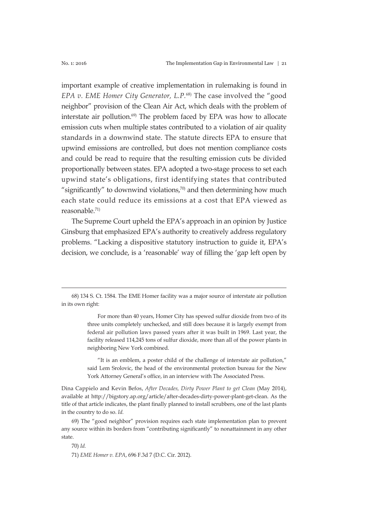important example of creative implementation in rulemaking is found in *EPA v. EME Homer City Generator, L.P.*68) The case involved the "good neighbor" provision of the Clean Air Act, which deals with the problem of interstate air pollution. $69$  The problem faced by EPA was how to allocate emission cuts when multiple states contributed to a violation of air quality standards in a downwind state. The statute directs EPA to ensure that upwind emissions are controlled, but does not mention compliance costs and could be read to require that the resulting emission cuts be divided proportionally between states. EPA adopted a two-stage process to set each upwind state's obligations, first identifying states that contributed "significantly" to downwind violations, $70$  and then determining how much each state could reduce its emissions at a cost that EPA viewed as reasonable.71)

The Supreme Court upheld the EPA's approach in an opinion by Justice Ginsburg that emphasized EPA's authority to creatively address regulatory problems. "Lacking a dispositive statutory instruction to guide it, EPA's decision, we conclude, is a 'reasonable' way of filling the 'gap left open by

For more than 40 years, Homer City has spewed sulfur dioxide from two of its three units completely unchecked, and still does because it is largely exempt from federal air pollution laws passed years after it was built in 1969. Last year, the facility released 114,245 tons of sulfur dioxide, more than all of the power plants in neighboring New York combined.

"It is an emblem, a poster child of the challenge of interstate air pollution," said Lem Srolovic, the head of the environmental protection bureau for the New York Attorney General's office, in an interview with The Associated Press.

Dina Cappielo and Kevin Befos, *After Decades, Dirty Power Plant to get Clean* (May 2014), available at http://bigstory.ap.org/article/after-decades-dirty-power-plant-get-clean. As the title of that article indicates, the plant finally planned to install scrubbers, one of the last plants in the country to do so. *Id.*

69) The "good neighbor" provision requires each state implementation plan to prevent any source within its borders from "contributing significantly" to nonattainment in any other state.

70) *Id.*

71) *EME Homer v. EPA*, 696 F.3d 7 (D.C. Cir. 2012).

<sup>68) 134</sup> S. Ct. 1584. The EME Homer facility was a major source of interstate air pollution in its own right: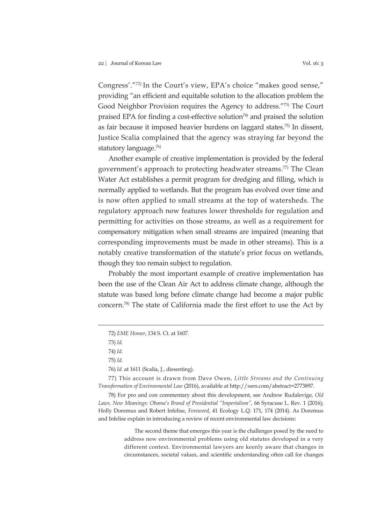Congress'."72) In the Court's view, EPA's choice "makes good sense," providing "an efficient and equitable solution to the allocation problem the Good Neighbor Provision requires the Agency to address."73) The Court praised EPA for finding a cost-effective solution<sup>74)</sup> and praised the solution as fair because it imposed heavier burdens on laggard states.75) In dissent, Justice Scalia complained that the agency was straying far beyond the statutory language.76)

Another example of creative implementation is provided by the federal government's approach to protecting headwater streams.<sup>77)</sup> The Clean Water Act establishes a permit program for dredging and filling, which is normally applied to wetlands. But the program has evolved over time and is now often applied to small streams at the top of watersheds. The regulatory approach now features lower thresholds for regulation and permitting for activities on those streams, as well as a requirement for compensatory mitigation when small streams are impaired (meaning that corresponding improvements must be made in other streams). This is a notably creative transformation of the statute's prior focus on wetlands, though they too remain subject to regulation.

Probably the most important example of creative implementation has been the use of the Clean Air Act to address climate change, although the statute was based long before climate change had become a major public concern.78) The state of California made the first effort to use the Act by

76) *Id.* at 1611 (Scalia, J., dissenting).

77) This account is drawn from Dave Owen, *Little Streams and the Continuing Transformation of Environmental Law* (2016), available at http://ssrn.com/abstract=2773897.

78) For pro and con commentary about this development, see Andrew Rudalevige, *Old Laws, New Meanings: Obama's Brand of Presidential "Imperialism"*, 66 Syracuse L. Rev. 1 (2016); Holly Doremus and Robert Infelise, *Foreword*, 41 Ecology L.Q. 171, 174 (2014). As Doremus and Infelise explain in introducing a review of recent environmental law decisions:

> The second theme that emerges this year is the challenges posed by the need to address new environmental problems using old statutes developed in a very different context. Environmental lawyers are keenly aware that changes in circumstances, societal values, and scientific understanding often call for changes

<sup>72)</sup> *EME Homer*, 134 S. Ct. at 1607.

<sup>73)</sup> *Id.*

<sup>74)</sup> *Id.*

<sup>75)</sup> *Id.*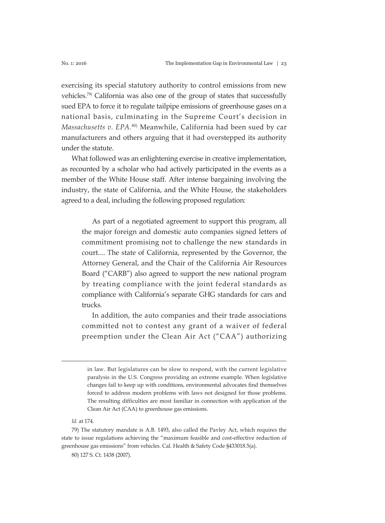exercising its special statutory authority to control emissions from new vehicles.79) California was also one of the group of states that successfully sued EPA to force it to regulate tailpipe emissions of greenhouse gases on a national basis, culminating in the Supreme Court's decision in *Massachusetts v. EPA.*80) Meanwhile, California had been sued by car manufacturers and others arguing that it had overstepped its authority under the statute.

What followed was an enlightening exercise in creative implementation, as recounted by a scholar who had actively participated in the events as a member of the White House staff. After intense bargaining involving the industry, the state of California, and the White House, the stakeholders agreed to a deal, including the following proposed regulation:

As part of a negotiated agreement to support this program, all the major foreign and domestic auto companies signed letters of commitment promising not to challenge the new standards in court.... The state of California, represented by the Governor, the Attorney General, and the Chair of the California Air Resources Board ("CARB") also agreed to support the new national program by treating compliance with the joint federal standards as compliance with California's separate GHG standards for cars and trucks.

In addition, the auto companies and their trade associations committed not to contest any grant of a waiver of federal preemption under the Clean Air Act ("CAA") authorizing

*Id.* at 174.

80) 127 S. Ct. 1438 (2007).

in law. But legislatures can be slow to respond, with the current legislative paralysis in the U.S. Congress providing an extreme example. When legislative changes fail to keep up with conditions, environmental advocates find themselves forced to address modern problems with laws not designed for those problems. The resulting difficulties are most familiar in connection with application of the Clean Air Act (CAA) to greenhouse gas emissions.

<sup>79)</sup> The statutory mandate is A.B. 1493, also called the Pavley Act, which requires the state to issue regulations achieving the "maximum feasible and cost-effective reduction of greenhouse gas emissions" from vehicles. Cal. Health & Safety Code §433018.5(a).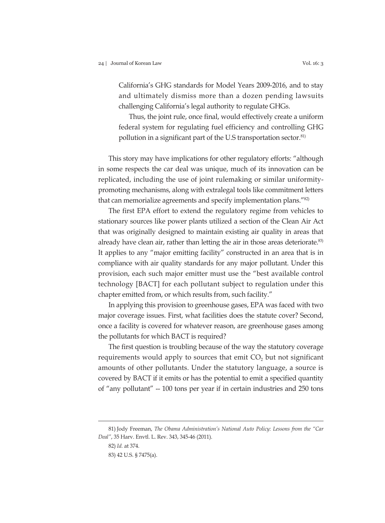California's GHG standards for Model Years 2009-2016, and to stay and ultimately dismiss more than a dozen pending lawsuits challenging California's legal authority to regulate GHGs.

Thus, the joint rule, once final, would effectively create a uniform federal system for regulating fuel efficiency and controlling GHG pollution in a significant part of the U.S transportation sector.<sup>81)</sup>

This story may have implications for other regulatory efforts: "although in some respects the car deal was unique, much of its innovation can be replicated, including the use of joint rulemaking or similar uniformitypromoting mechanisms, along with extralegal tools like commitment letters that can memorialize agreements and specify implementation plans."82)

The first EPA effort to extend the regulatory regime from vehicles to stationary sources like power plants utilized a section of the Clean Air Act that was originally designed to maintain existing air quality in areas that already have clean air, rather than letting the air in those areas deteriorate.<sup>83)</sup> It applies to any "major emitting facility" constructed in an area that is in compliance with air quality standards for any major pollutant. Under this provision, each such major emitter must use the "best available control technology [BACT] for each pollutant subject to regulation under this chapter emitted from, or which results from, such facility."

In applying this provision to greenhouse gases, EPA was faced with two major coverage issues. First, what facilities does the statute cover? Second, once a facility is covered for whatever reason, are greenhouse gases among the pollutants for which BACT is required?

The first question is troubling because of the way the statutory coverage requirements would apply to sources that emit  $CO<sub>2</sub>$  but not significant amounts of other pollutants. Under the statutory language, a source is covered by BACT if it emits or has the potential to emit a specified quantity of "any pollutant" -- 100 tons per year if in certain industries and 250 tons

<sup>81)</sup> Jody Freeman, *The Obama Administration's National Auto Policy: Lessons from the "Car Deal"*, 35 Harv. Envtl. L. Rev. 343, 345-46 (2011).

<sup>82)</sup> *Id.* at 374.

<sup>83) 42</sup> U.S. § 7475(a).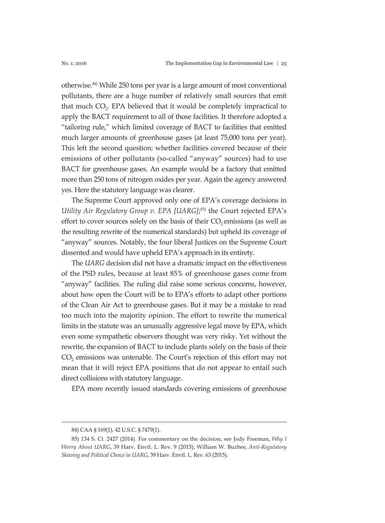otherwise.84) While 250 tons per year is a large amount of most conventional pollutants, there are a huge number of relatively small sources that emit that much CO<sub>2</sub>. EPA believed that it would be completely impractical to apply the BACT requirement to all of those facilities. It therefore adopted a "tailoring rule," which limited coverage of BACT to facilities that emitted much larger amounts of greenhouse gases (at least 75,000 tons per year). This left the second question: whether facilities covered because of their emissions of other pollutants (so-called "anyway" sources) had to use BACT for greenhouse gases. An example would be a factory that emitted more than 250 tons of nitrogen oxides per year. Again the agency answered yes. Here the statutory language was clearer.

The Supreme Court approved only one of EPA's coverage decisions in *Utility Air Regulatory Group v. EPA [UARG]*; 85) the Court rejected EPA's effort to cover sources solely on the basis of their  $CO<sub>2</sub>$  emissions (as well as the resulting rewrite of the numerical standards) but upheld its coverage of "anyway" sources. Notably, the four liberal Justices on the Supreme Court dissented and would have upheld EPA's approach in its entirety.

The *UARG* decision did not have a dramatic impact on the effectiveness of the PSD rules, because at least 85% of greenhouse gases come from "anyway" facilities. The ruling did raise some serious concerns, however, about how open the Court will be to EPA's efforts to adapt other portions of the Clean Air Act to greenhouse gases. But it may be a mistake to read too much into the majority opinion. The effort to rewrite the numerical limits in the statute was an unusually aggressive legal move by EPA, which even some sympathetic observers thought was very risky. Yet without the rewrite, the expansion of BACT to include plants solely on the basis of their CO<sub>2</sub> emissions was untenable. The Court's rejection of this effort may not mean that it will reject EPA positions that do not appear to entail such direct collisions with statutory language.

EPA more recently issued standards covering emissions of greenhouse

<sup>84)</sup> CAA § 169(1), 42 U.S.C. § 7479(1).

<sup>85) 134</sup> S. Ct. 2427 (2014). For commentary on the decision, see Jody Freeman, *Why I Worry About UARG*, 39 Harv. Envtl. L. Rev. 9 (2015); William W. Buzbee, *Anti-Regulatory Skewing and Political Choice in UARG*, 39 Harv. Envtl. L. Rev. 63 (2015).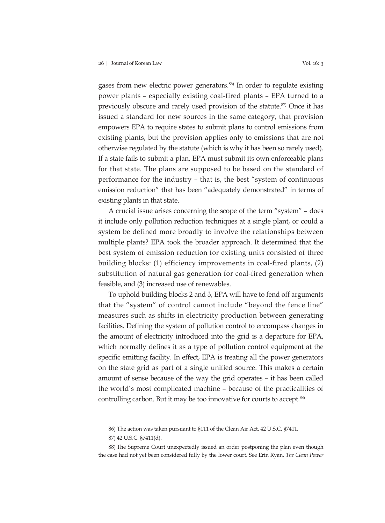existing plants in that state.

gases from new electric power generators.<sup>86)</sup> In order to regulate existing power plants – especially existing coal-fired plants – EPA turned to a previously obscure and rarely used provision of the statute.<sup>87)</sup> Once it has issued a standard for new sources in the same category, that provision empowers EPA to require states to submit plans to control emissions from existing plants, but the provision applies only to emissions that are not otherwise regulated by the statute (which is why it has been so rarely used). If a state fails to submit a plan, EPA must submit its own enforceable plans for that state. The plans are supposed to be based on the standard of performance for the industry – that is, the best "system of continuous

A crucial issue arises concerning the scope of the term "system" – does it include only pollution reduction techniques at a single plant, or could a system be defined more broadly to involve the relationships between multiple plants? EPA took the broader approach. It determined that the best system of emission reduction for existing units consisted of three building blocks: (1) efficiency improvements in coal-fired plants, (2) substitution of natural gas generation for coal-fired generation when feasible, and (3) increased use of renewables.

emission reduction" that has been "adequately demonstrated" in terms of

To uphold building blocks 2 and 3, EPA will have to fend off arguments that the "system" of control cannot include "beyond the fence line" measures such as shifts in electricity production between generating facilities. Defining the system of pollution control to encompass changes in the amount of electricity introduced into the grid is a departure for EPA, which normally defines it as a type of pollution control equipment at the specific emitting facility. In effect, EPA is treating all the power generators on the state grid as part of a single unified source. This makes a certain amount of sense because of the way the grid operates – it has been called the world's most complicated machine – because of the practicalities of controlling carbon. But it may be too innovative for courts to accept.<sup>88)</sup>

<sup>86)</sup> The action was taken pursuant to §111 of the Clean Air Act, 42 U.S.C. §7411.

<sup>87) 42</sup> U.S.C. §7411(d).

<sup>88)</sup> The Supreme Court unexpectedly issued an order postponing the plan even though the case had not yet been considered fully by the lower court. See Erin Ryan, *The Clean Power*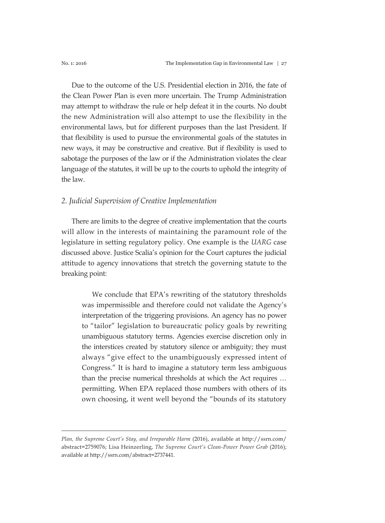Due to the outcome of the U.S. Presidential election in 2016, the fate of the Clean Power Plan is even more uncertain. The Trump Administration may attempt to withdraw the rule or help defeat it in the courts. No doubt the new Administration will also attempt to use the flexibility in the environmental laws, but for different purposes than the last President. If that flexibility is used to pursue the environmental goals of the statutes in new ways, it may be constructive and creative. But if flexibility is used to sabotage the purposes of the law or if the Administration violates the clear language of the statutes, it will be up to the courts to uphold the integrity of the law.

#### *2. Judicial Supervision of Creative Implementation*

There are limits to the degree of creative implementation that the courts will allow in the interests of maintaining the paramount role of the legislature in setting regulatory policy. One example is the *UARG* case discussed above. Justice Scalia's opinion for the Court captures the judicial attitude to agency innovations that stretch the governing statute to the breaking point:

We conclude that EPA's rewriting of the statutory thresholds was impermissible and therefore could not validate the Agency's interpretation of the triggering provisions. An agency has no power to "tailor" legislation to bureaucratic policy goals by rewriting unambiguous statutory terms. Agencies exercise discretion only in the interstices created by statutory silence or ambiguity; they must always "give effect to the unambiguously expressed intent of Congress." It is hard to imagine a statutory term less ambiguous than the precise numerical thresholds at which the Act requires … permitting. When EPA replaced those numbers with others of its own choosing, it went well beyond the "bounds of its statutory

*Plan, the Supreme Court's Stay, and Irreparable Harm* (2016), available at http://ssrn.com/ abstract=2759076; Lisa Heinzerling, *The Supreme Court's Clean-Power Power Grab* (2016); available at http://ssrn.com/abstract=2737441.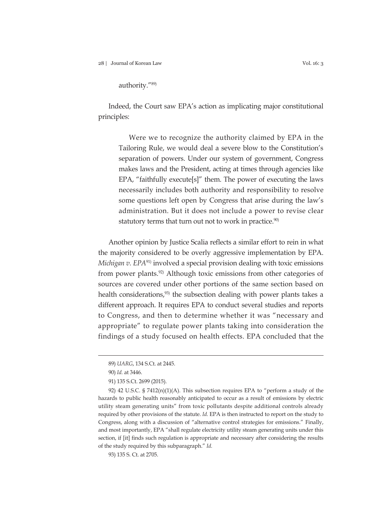28 | Journal of Korean Law Vol. 16: 3

authority."89)

Indeed, the Court saw EPA's action as implicating major constitutional principles:

Were we to recognize the authority claimed by EPA in the Tailoring Rule, we would deal a severe blow to the Constitution's separation of powers. Under our system of government, Congress makes laws and the President, acting at times through agencies like EPA, "faithfully execute[s]" them. The power of executing the laws necessarily includes both authority and responsibility to resolve some questions left open by Congress that arise during the law's administration. But it does not include a power to revise clear statutory terms that turn out not to work in practice.<sup>90)</sup>

Another opinion by Justice Scalia reflects a similar effort to rein in what the majority considered to be overly aggressive implementation by EPA. *Michigan v. EPA*91) involved a special provision dealing with toxic emissions from power plants.<sup>92)</sup> Although toxic emissions from other categories of sources are covered under other portions of the same section based on health considerations,<sup>93)</sup> the subsection dealing with power plants takes a different approach. It requires EPA to conduct several studies and reports to Congress, and then to determine whether it was "necessary and appropriate" to regulate power plants taking into consideration the findings of a study focused on health effects. EPA concluded that the

<sup>89)</sup> *UARG*, 134 S.Ct. at 2445.

<sup>90)</sup> *Id.* at 3446.

<sup>91) 135</sup> S.Ct. 2699 (2015).

<sup>92) 42</sup> U.S.C. §  $7412(n)(1)(A)$ . This subsection requires EPA to "perform a study of the hazards to public health reasonably anticipated to occur as a result of emissions by electric utility steam generating units" from toxic pollutants despite additional controls already required by other provisions of the statute. *Id.* EPA is then instructed to report on the study to Congress, along with a discussion of "alternative control strategies for emissions." Finally, and most importantly, EPA "shall regulate electricity utility steam generating units under this section, if [it] finds such regulation is appropriate and necessary after considering the results of the study required by this subparagraph." *Id.*

<sup>93) 135</sup> S. Ct. at 2705.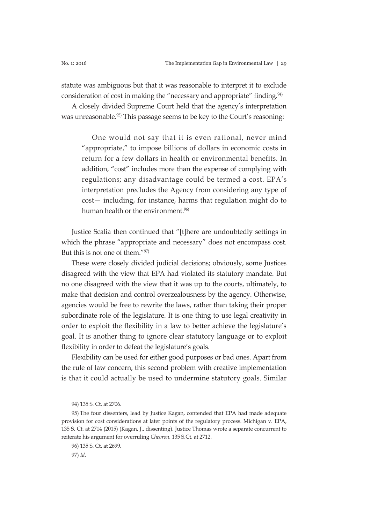statute was ambiguous but that it was reasonable to interpret it to exclude consideration of cost in making the "necessary and appropriate" finding.<sup>94)</sup>

A closely divided Supreme Court held that the agency's interpretation was unreasonable.<sup>95)</sup> This passage seems to be key to the Court's reasoning:

One would not say that it is even rational, never mind "appropriate," to impose billions of dollars in economic costs in return for a few dollars in health or environmental benefits. In addition, "cost" includes more than the expense of complying with regulations; any disadvantage could be termed a cost. EPA's interpretation precludes the Agency from considering any type of cost— including, for instance, harms that regulation might do to human health or the environment.<sup>96)</sup>

Justice Scalia then continued that "[t]here are undoubtedly settings in which the phrase "appropriate and necessary" does not encompass cost. But this is not one of them."97)

These were closely divided judicial decisions; obviously, some Justices disagreed with the view that EPA had violated its statutory mandate. But no one disagreed with the view that it was up to the courts, ultimately, to make that decision and control overzealousness by the agency. Otherwise, agencies would be free to rewrite the laws, rather than taking their proper subordinate role of the legislature. It is one thing to use legal creativity in order to exploit the flexibility in a law to better achieve the legislature's goal. It is another thing to ignore clear statutory language or to exploit flexibility in order to defeat the legislature's goals.

Flexibility can be used for either good purposes or bad ones. Apart from the rule of law concern, this second problem with creative implementation is that it could actually be used to undermine statutory goals. Similar

<sup>94) 135</sup> S. Ct. at 2706.

<sup>95)</sup> The four dissenters, lead by Justice Kagan, contended that EPA had made adequate provision for cost considerations at later points of the regulatory process. Michigan v. EPA, 135 S. Ct. at 2714 (2015) (Kagan, J., dissenting). Justice Thomas wrote a separate concurrent to reiterate his argument for overruling *Chevron*. 135 S.Ct. at 2712.

<sup>96) 135</sup> S. Ct. at 2699.

<sup>97)</sup> *Id*.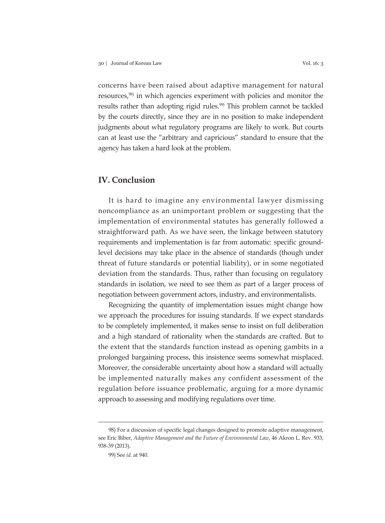concerns have been raised about adaptive management for natural resources,98) in which agencies experiment with policies and monitor the results rather than adopting rigid rules.<sup>99)</sup> This problem cannot be tackled by the courts directly, since they are in no position to make independent judgments about what regulatory programs are likely to work. But courts can at least use the "arbitrary and capricious" standard to ensure that the agency has taken a hard look at the problem.

# **IV. Conclusion**

It is hard to imagine any environmental lawyer dismissing noncompliance as an unimportant problem or suggesting that the implementation of environmental statutes has generally followed a straightforward path. As we have seen, the linkage between statutory requirements and implementation is far from automatic: specific groundlevel decisions may take place in the absence of standards (though under threat of future standards or potential liability), or in some negotiated deviation from the standards. Thus, rather than focusing on regulatory standards in isolation, we need to see them as part of a larger process of negotiation between government actors, industry, and environmentalists.

Recognizing the quantity of implementation issues might change how we approach the procedures for issuing standards. If we expect standards to be completely implemented, it makes sense to insist on full deliberation and a high standard of rationality when the standards are crafted. But to the extent that the standards function instead as opening gambits in a prolonged bargaining process, this insistence seems somewhat misplaced. Moreover, the considerable uncertainty about how a standard will actually be implemented naturally makes any confident assessment of the regulation before issuance problematic, arguing for a more dynamic approach to assessing and modifying regulations over time.

<sup>98)</sup> For a discussion of specific legal changes designed to promote adaptive management, see Eric Biber, *Adaptive Management and the Future of Environmental Law*, 46 Akron L. Rev. 933, 938-39 (2013).

<sup>99)</sup> See *id.* at 940.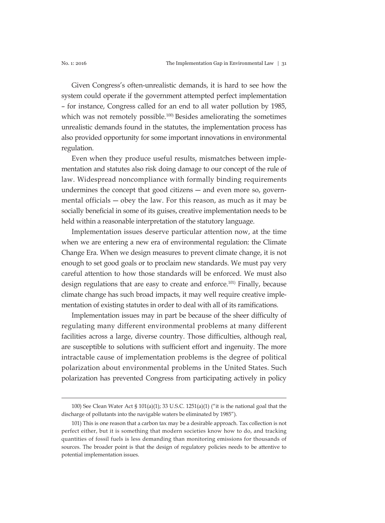Given Congress's often-unrealistic demands, it is hard to see how the system could operate if the government attempted perfect implementation – for instance, Congress called for an end to all water pollution by 1985, which was not remotely possible.<sup>100)</sup> Besides ameliorating the sometimes unrealistic demands found in the statutes, the implementation process has also provided opportunity for some important innovations in environmental regulation.

Even when they produce useful results, mismatches between implementation and statutes also risk doing damage to our concept of the rule of law. Widespread noncompliance with formally binding requirements undermines the concept that good citizens ― and even more so, governmental officials ― obey the law. For this reason, as much as it may be socially beneficial in some of its guises, creative implementation needs to be held within a reasonable interpretation of the statutory language.

Implementation issues deserve particular attention now, at the time when we are entering a new era of environmental regulation: the Climate Change Era. When we design measures to prevent climate change, it is not enough to set good goals or to proclaim new standards. We must pay very careful attention to how those standards will be enforced. We must also design regulations that are easy to create and enforce.<sup>101)</sup> Finally, because climate change has such broad impacts, it may well require creative implementation of existing statutes in order to deal with all of its ramifications.

Implementation issues may in part be because of the sheer difficulty of regulating many different environmental problems at many different facilities across a large, diverse country. Those difficulties, although real, are susceptible to solutions with sufficient effort and ingenuity. The more intractable cause of implementation problems is the degree of political polarization about environmental problems in the United States. Such polarization has prevented Congress from participating actively in policy

<sup>100)</sup> See Clean Water Act § 101(a)(1); 33 U.S.C. 1251(a)(1) ("it is the national goal that the discharge of pollutants into the navigable waters be eliminated by 1985").

<sup>101)</sup> This is one reason that a carbon tax may be a desirable approach. Tax collection is not perfect either, but it is something that modern societies know how to do, and tracking quantities of fossil fuels is less demanding than monitoring emissions for thousands of sources. The broader point is that the design of regulatory policies needs to be attentive to potential implementation issues.